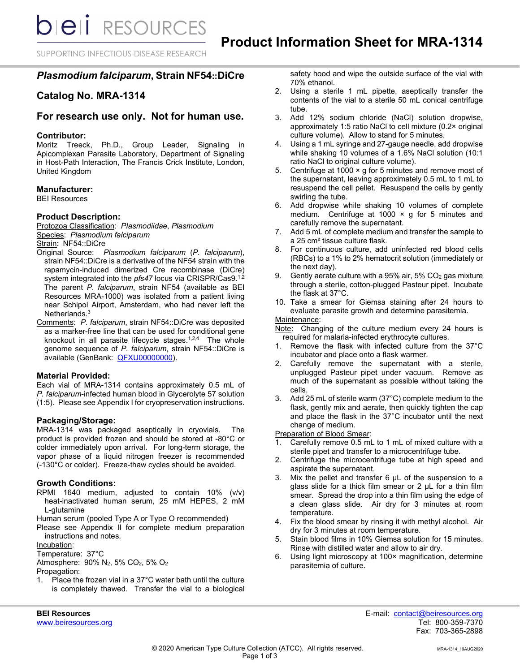**bieli** RESOURCES

SUPPORTING INFECTIOUS DISEASE RESEARCH

# *Plasmodium falciparum***, Strain NF54::DiCre**

# **Catalog No. MRA-1314**

# **For research use only. Not for human use.**

## **Contributor:**

Moritz Treeck, Ph.D., Group Leader, Signaling in Apicomplexan Parasite Laboratory, Department of Signaling in Host-Path Interaction, The Francis Crick Institute, London, United Kingdom

### **Manufacturer:**

BEI Resources

### **Product Description:**

Protozoa Classification: *PIasmodiidae*, *Plasmodium* Species: *Plasmodium falciparum*

Strain: NF54::DiCre

- Original Source: *Plasmodium falciparum* (*P. falciparum*), strain NF54::DiCre is a derivative of the NF54 strain with the rapamycin-induced dimerized Cre recombinase (DiCre) system integrated into the *pfs47* locus via CRISPR/Cas9. 1,2 The parent *P. falciparum*, strain NF54 (available as BEI Resources MRA-1000) was isolated from a patient living near Schipol Airport, Amsterdam, who had never left the Netherlands.3
- Comments: *P. falciparum*, strain NF54::DiCre was deposited as a marker-free line that can be used for conditional gene knockout in all parasite lifecycle stages. 1,2,4 The whole genome sequence of *P. falciparum*, strain NF54::DiCre is available (GenBank: **QFXU00000000**).

#### **Material Provided:**

Each vial of MRA-1314 contains approximately 0.5 mL of *P. falciparum*-infected human blood in Glycerolyte 57 solution (1:5). Please see Appendix I for cryopreservation instructions.

### **Packaging/Storage:**

MRA-1314 was packaged aseptically in cryovials. The product is provided frozen and should be stored at -80°C or colder immediately upon arrival. For long-term storage, the vapor phase of a liquid nitrogen freezer is recommended (-130°C or colder). Freeze-thaw cycles should be avoided.

## **Growth Conditions:**

RPMI 1640 medium, adjusted to contain 10% (v/v) heat-inactivated human serum, 25 mM HEPES, 2 mM L-glutamine

Human serum (pooled Type A or Type O recommended)

Please see Appendix II for complete medium preparation instructions and notes.

#### Incubation:

Temperature: 37°C

Atmosphere: 90% N2, 5% CO2, 5% O2

# Propagation:

1. Place the frozen vial in a 37°C water bath until the culture is completely thawed. Transfer the vial to a biological safety hood and wipe the outside surface of the vial with 70% ethanol.

- 2. Using a sterile 1 mL pipette, aseptically transfer the contents of the vial to a sterile 50 mL conical centrifuge tube.
- 3. Add 12% sodium chloride (NaCl) solution dropwise, approximately 1:5 ratio NaCl to cell mixture (0.2× original culture volume). Allow to stand for 5 minutes.
- 4. Using a 1 mL syringe and 27-gauge needle, add dropwise while shaking 10 volumes of a 1.6% NaCl solution (10:1 ratio NaCl to original culture volume).
- 5. Centrifuge at 1000 × g for 5 minutes and remove most of the supernatant, leaving approximately 0.5 mL to 1 mL to resuspend the cell pellet. Resuspend the cells by gently swirling the tube.
- 6. Add dropwise while shaking 10 volumes of complete medium. Centrifuge at 1000  $\times$  g for 5 minutes and carefully remove the supernatant.
- 7. Add 5 mL of complete medium and transfer the sample to a 25 cm² tissue culture flask.
- 8. For continuous culture, add uninfected red blood cells (RBCs) to a 1% to 2% hematocrit solution (immediately or the next day).
- 9. Gently aerate culture with a 95% air, 5% CO2 gas mixture through a sterile, cotton-plugged Pasteur pipet. Incubate the flask at 37°C.
- 10. Take a smear for Giemsa staining after 24 hours to evaluate parasite growth and determine parasitemia.

#### Maintenance:

Note: Changing of the culture medium every 24 hours is required for malaria-infected erythrocyte cultures.

- 1. Remove the flask with infected culture from the 37°C incubator and place onto a flask warmer.
- 2. Carefully remove the supernatant with a sterile, unplugged Pasteur pipet under vacuum. Remove as much of the supernatant as possible without taking the cells.
- 3. Add 25 mL of sterile warm (37°C) complete medium to the flask, gently mix and aerate, then quickly tighten the cap and place the flask in the 37°C incubator until the next change of medium.

**Preparation of Blood Smear:** 

- 1. Carefully remove 0.5 mL to 1 mL of mixed culture with a sterile pipet and transfer to a microcentrifuge tube.
- 2. Centrifuge the microcentrifuge tube at high speed and aspirate the supernatant.
- 3. Mix the pellet and transfer 6 µL of the suspension to a glass slide for a thick film smear or 2 µL for a thin film smear. Spread the drop into a thin film using the edge of a clean glass slide. Air dry for 3 minutes at room temperature.
- 4. Fix the blood smear by rinsing it with methyl alcohol. Air dry for 3 minutes at room temperature.
- 5. Stain blood films in 10% Giemsa solution for 15 minutes. Rinse with distilled water and allow to air dry.
- 6. Using light microscopy at 100× magnification, determine parasitemia of culture.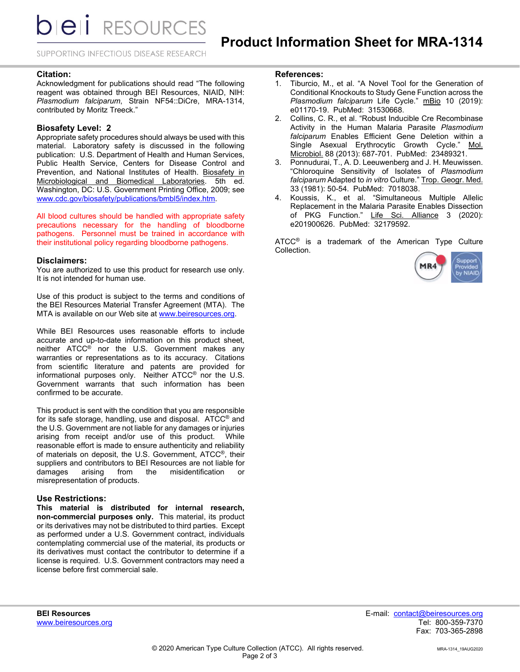**bieli** RESOURCES

SUPPORTING INFECTIOUS DISEASE RESEARCH

## **Citation:**

Acknowledgment for publications should read "The following reagent was obtained through BEI Resources, NIAID, NIH: *Plasmodium falciparum*, Strain NF54::DiCre, MRA-1314, contributed by Moritz Treeck."

### **Biosafety Level: 2**

Appropriate safety procedures should always be used with this material. Laboratory safety is discussed in the following publication: U.S. Department of Health and Human Services, Public Health Service, Centers for Disease Control and Prevention, and National Institutes of Health. Biosafety in Microbiological and Biomedical Laboratories. 5th ed. Washington, DC: U.S. Government Printing Office, 2009; see [www.cdc.gov/biosafety/publications/bmbl5/index.htm.](http://www.cdc.gov/biosafety/publications/bmbl5/index.htm) 

All blood cultures should be handled with appropriate safety precautions necessary for the handling of bloodborne pathogens. Personnel must be trained in accordance with their institutional policy regarding bloodborne pathogens.

### **Disclaimers:**

You are authorized to use this product for research use only. It is not intended for human use.

Use of this product is subject to the terms and conditions of the BEI Resources Material Transfer Agreement (MTA). The MTA is available on our Web site at [www.beiresources.org.](http://www.beiresources.org/) 

While BEI Resources uses reasonable efforts to include accurate and up-to-date information on this product sheet, neither ATCC® nor the U.S. Government makes any warranties or representations as to its accuracy. Citations from scientific literature and patents are provided for informational purposes only. Neither ATCC® nor the U.S. Government warrants that such information has been confirmed to be accurate.

This product is sent with the condition that you are responsible for its safe storage, handling, use and disposal. ATCC® and the U.S. Government are not liable for any damages or injuries arising from receipt and/or use of this product. While reasonable effort is made to ensure authenticity and reliability of materials on deposit, the U.S. Government, ATCC®, their suppliers and contributors to BEI Resources are not liable for damages arising from the misidentification or misrepresentation of products.

#### **Use Restrictions:**

**This material is distributed for internal research, non-commercial purposes only.** This material, its product or its derivatives may not be distributed to third parties. Except as performed under a U.S. Government contract, individuals contemplating commercial use of the material, its products or its derivatives must contact the contributor to determine if a license is required. U.S. Government contractors may need a license before first commercial sale.

## **References:**

- 1. Tiburcio, M., et al. "A Novel Tool for the Generation of Conditional Knockouts to Study Gene Function across the *Plasmodium falciparum* Life Cycle." mBio 10 (2019): e01170-19. PubMed: 31530668.
- 2. Collins, C. R., et al. "Robust Inducible Cre Recombinase Activity in the Human Malaria Parasite *Plasmodium falciparum* Enables Efficient Gene Deletion within a Single Asexual Erythrocytic Growth Cycle." Mol. Microbiol. 88 (2013): 687-701. PubMed: 23489321.
- 3. Ponnudurai, T., A. D. Leeuwenberg and J. H. Meuwissen. "Chloroquine Sensitivity of Isolates of *Plasmodium falciparum* Adapted to *in vitro* Culture." Trop. Geogr. Med. 33 (1981): 50-54. PubMed: 7018038.
- 4. Koussis, K., et al. "Simultaneous Multiple Allelic Replacement in the Malaria Parasite Enables Dissection of PKG Function." Life Sci. Alliance 3 (2020): e201900626. PubMed: 32179592.

ATCC<sup>®</sup> is a trademark of the American Type Culture Collection.